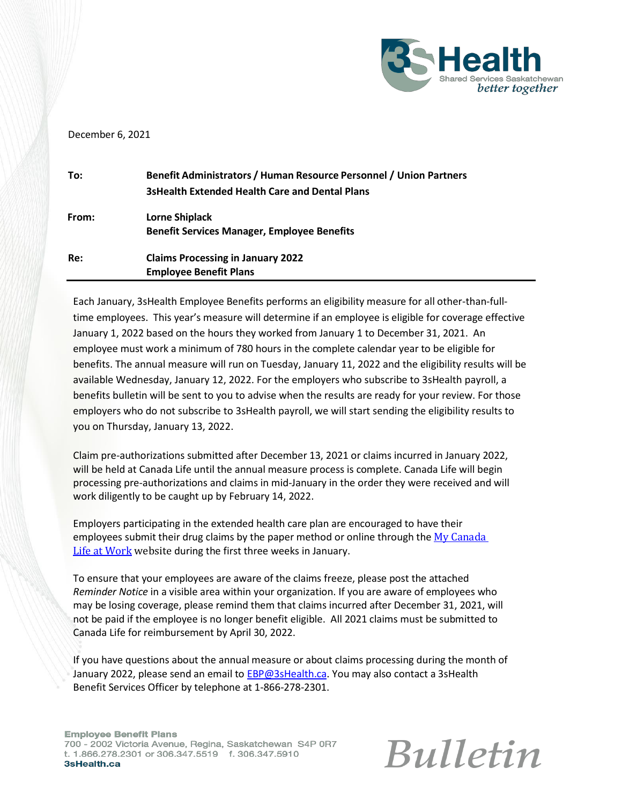

## December 6, 2021

| To:   | <b>Benefit Administrators / Human Resource Personnel / Union Partners</b><br><b>3sHealth Extended Health Care and Dental Plans</b> |
|-------|------------------------------------------------------------------------------------------------------------------------------------|
| From: | Lorne Shiplack<br><b>Benefit Services Manager, Employee Benefits</b>                                                               |
| Re:   | <b>Claims Processing in January 2022</b><br><b>Employee Benefit Plans</b>                                                          |

Each January, 3sHealth Employee Benefits performs an eligibility measure for all other-than-fulltime employees. This year's measure will determine if an employee is eligible for coverage effective January 1, 2022 based on the hours they worked from January 1 to December 31, 2021. An employee must work a minimum of 780 hours in the complete calendar year to be eligible for benefits. The annual measure will run on Tuesday, January 11, 2022 and the eligibility results will be available Wednesday, January 12, 2022. For the employers who subscribe to 3sHealth payroll, a benefits bulletin will be sent to you to advise when the results are ready for your review. For those employers who do not subscribe to 3sHealth payroll, we will start sending the eligibility results to you on Thursday, January 13, 2022.

Claim pre-authorizations submitted after December 13, 2021 or claims incurred in January 2022, will be held at Canada Life until the annual measure process is complete. Canada Life will begin processing pre-authorizations and claims in mid-January in the order they were received and will work diligently to be caught up by February 14, 2022.

Employers participating in the extended health care plan are encouraged to have their employees submit their drug claims by the paper method or online through the My Canada [Life at Work](http://www.mycanadalifeatwork.com/) website during the first three weeks in January.

To ensure that your employees are aware of the claims freeze, please post the attached *Reminder Notice* in a visible area within your organization. If you are aware of employees who may be losing coverage, please remind them that claims incurred after December 31, 2021, will not be paid if the employee is no longer benefit eligible. All 2021 claims must be submitted to Canada Life for reimbursement by April 30, 2022.

If you have questions about the annual measure or about claims processing during the month of January 2022, please send an email to [EBP@3sHealth.ca. Y](mailto:EBP@3sHealth.ca)ou may also contact a 3sHealth Benefit Services Officer by telephone at 1-866-278-2301.